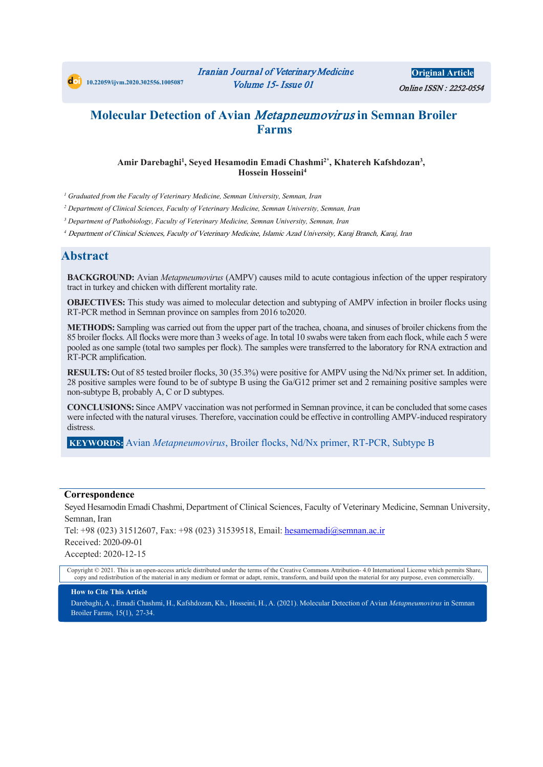

## **Molecular Detection of Avian** Metapneumovirus **in Semnan Broiler Farms**

#### **Amir Darebaghi1 , Seyed Hesamodin Emadi Chashmi 2\*, Khatereh Kafshdozan3 , Hossein Hosseini4**

*<sup>1</sup> Graduated from the Faculty of Veterinary Medicine, Semnan University, Semnan, Iran*

*<sup>2</sup> Department of Clinical Sciences, Faculty of Veterinary Medicine, Semnan University, Semnan, Iran*

*<sup>3</sup> Department of Pathobiology, Faculty of Veterinary Medicine, Semnan University, Semnan, Iran* 

*<sup>4</sup>* Department of Clinical Sciences, Faculty of Veterinary Medicine, Islamic Azad University, Karaj Branch, Karaj, Iran

### **Abstract**

**BACKGROUND:** Avian *Metapneumovirus* (AMPV) causes mild to acute contagious infection of the upper respiratory tract in turkey and chicken with different mortality rate.

**OBJECTIVES:** This study was aimed to molecular detection and subtyping of AMPV infection in broiler flocks using RT-PCR method in Semnan province on samples from 2016 to2020.

**METHODS:** Sampling was carried out from the upper part of the trachea, choana, and sinuses of broiler chickens from the 85 broiler flocks. All flocks were more than 3 weeks of age. In total 10 swabs were taken from each flock, while each 5 were pooled as one sample (total two samples per flock). The samples were transferred to the laboratory for RNA extraction and RT-PCR amplification.

**RESULTS:** Out of 85 tested broiler flocks, 30 (35.3%) were positive for AMPV using the Nd/Nx primer set. In addition, 28 positive samples were found to be of subtype B using the Ga/G12 primer set and 2 remaining positive samples were non-subtype B, probably A, C or D subtypes.

**CONCLUSIONS:** Since AMPV vaccination was not performed in Semnan province, it can be concluded that some cases were infected with the natural viruses. Therefore, vaccination could be effective in controlling AMPV-induced respiratory distress.

**KEYWORDS:** Avian *Metapneumovirus*, Broiler flocks, Nd/Nx primer, RT-PCR, Subtype B

#### **Correspondence**

Seyed Hesamodin Emadi Chashmi, Department of Clinical Sciences, Faculty of Veterinary Medicine, Semnan University, Semnan, Iran

Tel: +98 (023) 31512607, Fax: +98 (023) 31539518, Email: hesamemadi@semnan.ac.ir Received: 2020-09-01 Accepted: 2020-12-15

Copyright © 2021. This is an open-access article distributed under the terms of the Creative Commons Attribution- 4.0 International License which permits Share, copy and redistribution of the material in any medium or format or adapt, remix, transform, and build upon the material for any purpose, even commercially.

#### **How to Cite This Article**

Darebaghi, A ., Emadi Chashmi, H., Kafshdozan, Kh., Hosseini, H*.*, A. (2021). Molecular Detection of Avian *Metapneumovirus* in Semnan Broiler Farms, 15(1), 27-34.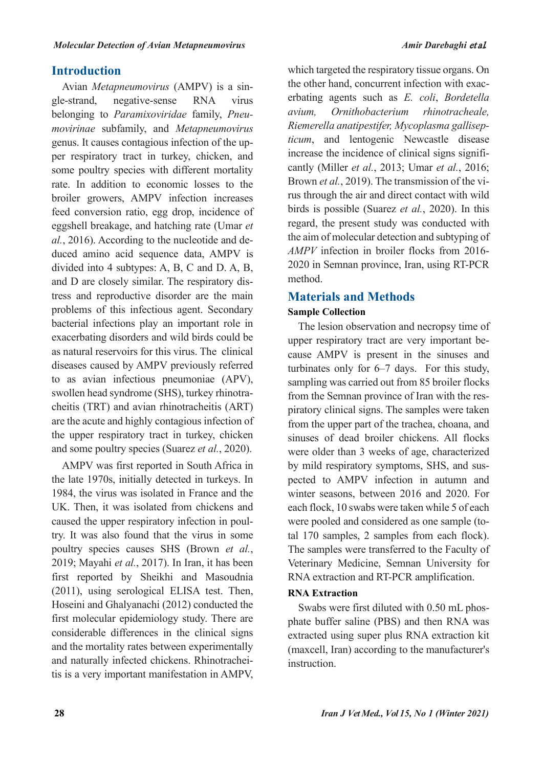## **Introduction**

Avian *Metapneumovirus* (AMPV) is a single-strand, negative-sense RNA virus belonging to *Paramixoviridae* family, *Pneumovirinae* subfamily, and *Metapneumovirus* genus. It causes contagious infection of the upper respiratory tract in turkey, chicken, and some poultry species with different mortality rate. In addition to economic losses to the broiler growers, AMPV infection increases feed conversion ratio, egg drop, incidence of eggshell breakage, and hatching rate (Umar *et al.*, 2016). According to the nucleotide and deduced amino acid sequence data, AMPV is divided into 4 subtypes: A, B, C and D. A, B, and D are closely similar. The respiratory distress and reproductive disorder are the main problems of this infectious agent. Secondary bacterial infections play an important role in exacerbating disorders and wild birds could be as natural reservoirs for this virus. The clinical diseases caused by AMPV previously referred to as avian infectious pneumoniae (APV), swollen head syndrome (SHS), turkey rhinotracheitis (TRT) and avian rhinotracheitis (ART) are the acute and highly contagious infection of the upper respiratory tract in turkey, chicken and some poultry species (Suarez *et al.*, 2020).

AMPV was first reported in South Africa in the late 1970s, initially detected in turkeys. In 1984, the virus was isolated in France and the UK. Then, it was isolated from chickens and caused the upper respiratory infection in poultry. It was also found that the virus in some poultry species causes SHS (Brown *et al.*, 2019; Mayahi *et al.*, 2017). In Iran, it has been first reported by Sheikhi and Masoudnia (2011), using serological ELISA test. Then, Hoseini and Ghalyanachi (2012) conducted the first molecular epidemiology study. There are considerable differences in the clinical signs and the mortality rates between experimentally and naturally infected chickens. Rhinotracheitis is a very important manifestation in AMPV,

which targeted the respiratory tissue organs. On the other hand, concurrent infection with exacerbating agents such as *E. coli*, *Bordetella avium, Ornithobacterium rhinotracheale, Riemerella anatipestifer, Mycoplasma gallisepticum*, and lentogenic Newcastle disease increase the incidence of clinical signs significantly (Miller *et al.*, 2013; Umar *et al.*, 2016; Brown *et al.*, 2019). The transmission of the virus through the air and direct contact with wild birds is possible (Suarez *et al.*, 2020). In this regard, the present study was conducted with the aim of molecular detection and subtyping of *AMPV* infection in broiler flocks from 2016- 2020 in Semnan province, Iran, using RT-PCR method.

## **Materials and Methods**

## **Sample Collection**

The lesion observation and necropsy time of upper respiratory tract are very important because AMPV is present in the sinuses and turbinates only for 6–7 days. For this study, sampling was carried out from 85 broiler flocks from the Semnan province of Iran with the respiratory clinical signs. The samples were taken from the upper part of the trachea, choana, and sinuses of dead broiler chickens. All flocks were older than 3 weeks of age, characterized by mild respiratory symptoms, SHS, and suspected to AMPV infection in autumn and winter seasons, between 2016 and 2020. For each flock, 10 swabs were taken while 5 of each were pooled and considered as one sample (total 170 samples, 2 samples from each flock). The samples were transferred to the Faculty of Veterinary Medicine, Semnan University for RNA extraction and RT-PCR amplification.

## **RNA Extraction**

Swabs were first diluted with 0.50 mL phosphate buffer saline (PBS) and then RNA was extracted using super plus RNA extraction kit (maxcell, Iran) according to the manufacturer's instruction.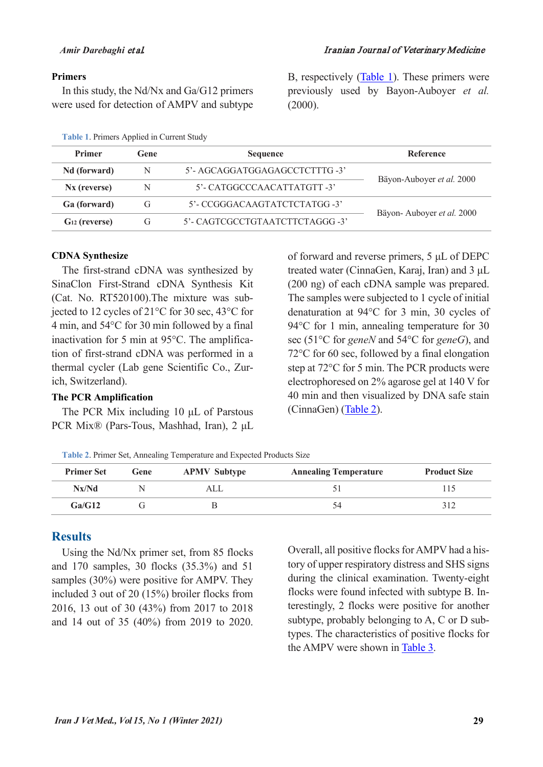#### **Primers**

In this study, the Nd/Nx and Ga/G12 primers were used for detection of AMPV and subtype

#### **Table 1**. Primers Applied in Current Study

B, respectively [\(Table 1\)](#page-2-0). These primers were previously used by Bayon-Auboyer *et al.* (2000).

<span id="page-2-0"></span>

| <b>Primer</b>            | Gene<br><b>Sequence</b>              |                                | Reference                 |  |
|--------------------------|--------------------------------------|--------------------------------|---------------------------|--|
| Nd (forward)             | N                                    | 5'- AGCAGGATGGAGAGCCTCTTTG -3' |                           |  |
| N <sub>x</sub> (reverse) | N                                    | 5'- CATGGCCCAACATTATGTT -3'    | Bäyon-Auboyer et al. 2000 |  |
| Ga (forward)             | 5'- CCGGGACAAGTATCTCTATGG -3'<br>G   |                                |                           |  |
| $G_{12}$ (reverse)       | 5'- CAGTCGCCTGTAATCTTCTAGGG -3'<br>G |                                | Bäyon-Auboyer et al. 2000 |  |

#### **CDNA Synthesize**

The first-strand cDNA was synthesized by SinaClon First-Strand cDNA Synthesis Kit (Cat. No. RT520100).The mixture was subjected to 12 cycles of 21°C for 30 sec, 43°C for 4 min, and 54°C for 30 min followed by a final inactivation for 5 min at 95°C. The amplification of first-strand cDNA was performed in a thermal cycler (Lab gene Scientific Co., Zurich, Switzerland).

#### **The PCR Amplification**

The PCR Mix including 10 μL of Parstous PCR Mix® (Pars-Tous, Mashhad, Iran), 2 μL of forward and reverse primers, 5 μL of DEPC treated water (CinnaGen, Karaj, Iran) and 3 μL (200 ng) of each cDNA sample was prepared. The samples were subjected to 1 cycle of initial denaturation at 94°C for 3 min, 30 cycles of 94 °C for 1 min, annealing temperature for 30 sec (51°C for *geneN* and 54°C for *geneG*), and 72°C for 60 sec, followed by a final elongation step at 72°C for 5 min. The PCR products were electrophoresed on 2% agarose gel at 140 V for 40 min and then visualized by DNA safe stain (CinnaGen) [\(Table 2\)](#page-2-1).

**Table 2**. Primer Set, Annealing Temperature and Expected Products Size

<span id="page-2-1"></span>

| <b>Primer Set</b> | Gene | <b>APMV Subtype</b> | <b>Annealing Temperature</b> | <b>Product Size</b> |
|-------------------|------|---------------------|------------------------------|---------------------|
| Nx/Nd             |      | ALL                 |                              |                     |
| Ga/G12            |      |                     |                              |                     |

## **Results**

Using the Nd/Nx primer set, from 85 flocks and 170 samples, 30 flocks (35.3%) and 51 samples (30%) were positive for AMPV. They included 3 out of 20 (15%) broiler flocks from 2016, 13 out of 30 (43%) from 2017 to 2018 and 14 out of 35 (40%) from 2019 to 2020. Overall, all positive flocks for AMPV had a history of upper respiratory distress and SHS signs during the clinical examination. Twenty-eight flocks were found infected with subtype B. Interestingly, 2 flocks were positive for another subtype, probably belonging to A, C or D subtypes. The characteristics of positive flocks for the AMPV were shown in [Table 3.](#page-3-0)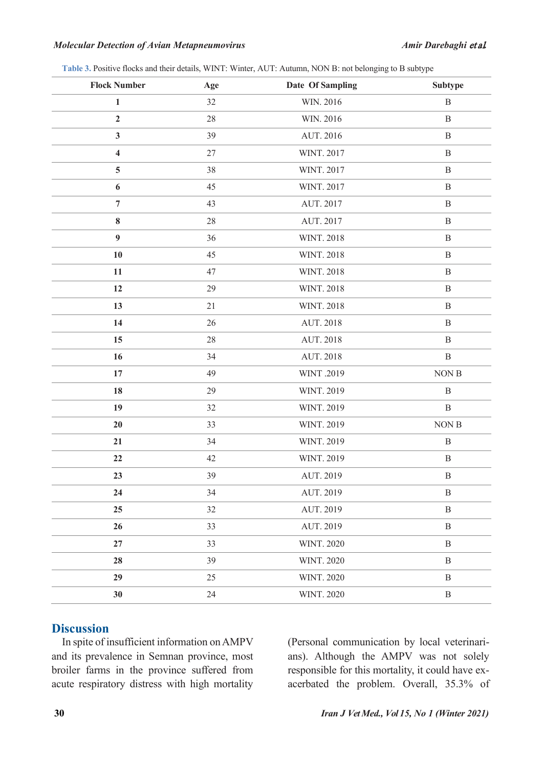#### *Molecular Detection of Avian Metapneumovirus Amir Darebaghi* et al*.*

| Table 3. Positive flocks and their details, WINT: Winter, AUT: Autumn, NON B: not belonging to B subtype |  |  |  |  |  |
|----------------------------------------------------------------------------------------------------------|--|--|--|--|--|
|----------------------------------------------------------------------------------------------------------|--|--|--|--|--|

<span id="page-3-0"></span>

| <b>Flock Number</b> | Age    | Date Of Sampling  | Subtype      |
|---------------------|--------|-------------------|--------------|
| 1                   | 32     | WIN. 2016         | $\, {\bf B}$ |
| $\overline{2}$      | $28\,$ | WIN. 2016         | $\, {\bf B}$ |
| 3                   | 39     | AUT. 2016         | $\, {\bf B}$ |
| 4                   | 27     | WINT. 2017        | $\, {\bf B}$ |
| 5                   | 38     | WINT. 2017        | $\, {\bf B}$ |
| 6                   | 45     | WINT. 2017        | $\, {\bf B}$ |
| $\overline{7}$      | 43     | AUT. 2017         | $\, {\bf B}$ |
| 8                   | 28     | AUT. 2017         | $\, {\bf B}$ |
| 9                   | 36     | <b>WINT. 2018</b> | $\, {\bf B}$ |
| 10                  | 45     | <b>WINT. 2018</b> | $\, {\bf B}$ |
| 11                  | 47     | <b>WINT. 2018</b> | $\, {\bf B}$ |
| 12                  | 29     | <b>WINT. 2018</b> | $\, {\bf B}$ |
| 13                  | 21     | <b>WINT. 2018</b> | $\, {\bf B}$ |
| 14                  | 26     | AUT. 2018         | $\, {\bf B}$ |
| 15                  | 28     | AUT. 2018         | $\, {\bf B}$ |
| 16                  | 34     | AUT. 2018         | $\, {\bf B}$ |
| 17                  | 49     | WINT .2019        | NON B        |
| 18                  | 29     | WINT. 2019        | $\, {\bf B}$ |
| 19                  | 32     | WINT. 2019        | $\, {\bf B}$ |
| 20                  | 33     | WINT. 2019        | NON B        |
| 21                  | 34     | WINT. 2019        | $\, {\bf B}$ |
| 22                  | 42     | WINT. 2019        | $\, {\bf B}$ |
| 23                  | 39     | AUT. 2019         | $\, {\bf B}$ |
| 24                  | 34     | AUT. 2019         | $\, {\bf B}$ |
| 25                  | 32     | AUT. 2019         | $\, {\bf B}$ |
| 26                  | 33     | AUT. 2019         | $\, {\bf B}$ |
| 27                  | 33     | <b>WINT. 2020</b> | $\, {\bf B}$ |
| 28                  | 39     | <b>WINT. 2020</b> | $\, {\bf B}$ |
| 29                  | 25     | <b>WINT. 2020</b> | $\, {\bf B}$ |
| 30                  | 24     | <b>WINT. 2020</b> | $\, {\bf B}$ |

## **Discussion**

In spite of insufficient information on AMPV and its prevalence in Semnan province, most broiler farms in the province suffered from acute respiratory distress with high mortality (Personal communication by local veterinarians). Although the AMPV was not solely responsible for this mortality, it could have exacerbated the problem. Overall, 35.3% of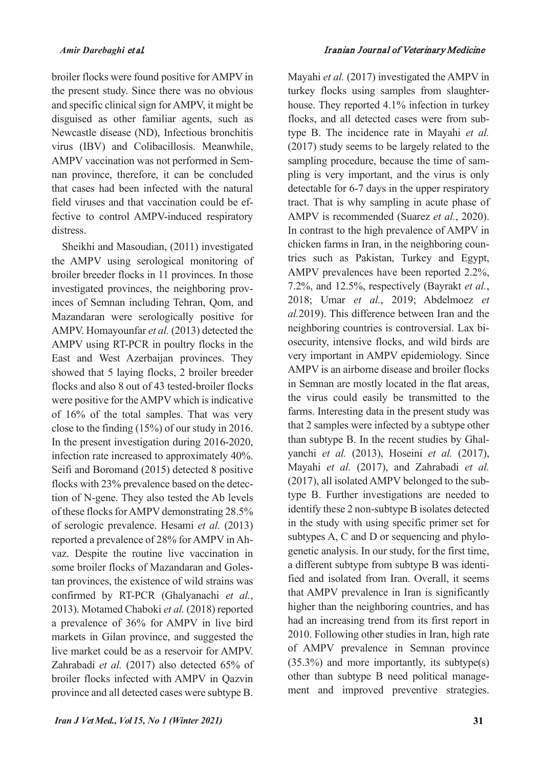broiler flocks were found positive for AMPV in the present study. Since there was no obvious and specific clinical sign for AMPV, it might be disguised as other familiar agents, such as Newcastle disease (ND), Infectious bronchitis virus (IBV) and Colibacillosis. Meanwhile, AMPV vaccination was not performed in Semnan province, therefore, it can be concluded that cases had been infected with the natural field viruses and that vaccination could be effective to control AMPV-induced respiratory distress.

Sheikhi and Masoudian, (2011) investigated the AMPV using serological monitoring of broiler breeder flocks in 11 provinces. In those investigated provinces, the neighboring provinces of Semnan including Tehran, Qom, and Mazandaran were serologically positive for AMPV. Homayounfar *et al.* (2013) detected the AMPV using RT-PCR in poultry flocks in the East and West Azerbaijan provinces. They showed that 5 laying flocks, 2 broiler breeder flocks and also 8 out of 43 tested-broiler flocks were positive for the AMPV which is indicative of 16% of the total samples. That was very close to the finding (15%) of our study in 2016. In the present investigation during 2016-2020, infection rate increased to approximately 40%. Seifi and Boromand (2015) detected 8 positive flocks with 23% prevalence based on the detection of N-gene. They also tested the Ab levels of these flocks for AMPV demonstrating 28.5% of serologic prevalence. Hesami *et al.* (2013) reported a prevalence of 28% for AMPV in Ahvaz. Despite the routine live vaccination in some broiler flocks of Mazandaran and Golestan provinces, the existence of wild strains was confirmed by RT-PCR (Ghalyanachi *et al.*, 2013). Motamed Chaboki *et al.* (2018) reported a prevalence of 36% for AMPV in live bird markets in Gilan province, and suggested the live market could be as a reservoir for AMPV. Zahrabadi *et al.* (2017) also detected 65% of broiler flocks infected with AMPV in Qazvin province and all detected cases were subtype B.

Mayahi *et al.* (2017) investigated the AMPV in turkey flocks using samples from slaughterhouse. They reported 4.1% infection in turkey flocks, and all detected cases were from subtype B. The incidence rate in Mayahi *et al.* (2017) study seems to be largely related to the sampling procedure, because the time of sampling is very important, and the virus is only detectable for 6-7 days in the upper respiratory tract. That is why sampling in acute phase of AMPV is recommended (Suarez *et al.*, 2020). In contrast to the high prevalence of AMPV in chicken farms in Iran, in the neighboring countries such as Pakistan, Turkey and Egypt, AMPV prevalences have been reported 2.2%, 7.2%, and 12.5%, respectively (Bayrakt *et al.*, 2018; Umar *et al.*, 2019; Abdelmoez *et al.*2019). This difference between Iran and the neighboring countries is controversial. Lax biosecurity, intensive flocks, and wild birds are very important in AMPV epidemiology. Since AMPV is an airborne disease and broiler flocks in Semnan are mostly located in the flat areas, the virus could easily be transmitted to the farms. Interesting data in the present study was that 2 samples were infected by a subtype other than subtype B. In the recent studies by Ghalyanchi *et al.* (2013), Hoseini *et al.* (2017), Mayahi *et al.* (2017), and Zahrabadi *et al.* (2017), all isolated AMPV belonged to the subtype B. Further investigations are needed to identify these 2 non-subtype B isolates detected in the study with using specific primer set for subtypes A, C and D or sequencing and phylogenetic analysis. In our study, for the first time, a different subtype from subtype B was identified and isolated from Iran. Overall, it seems that AMPV prevalence in Iran is significantly higher than the neighboring countries, and has had an increasing trend from its first report in 2010. Following other studies in Iran, high rate of AMPV prevalence in Semnan province (35.3%) and more importantly, its subtype(s) other than subtype B need political management and improved preventive strategies.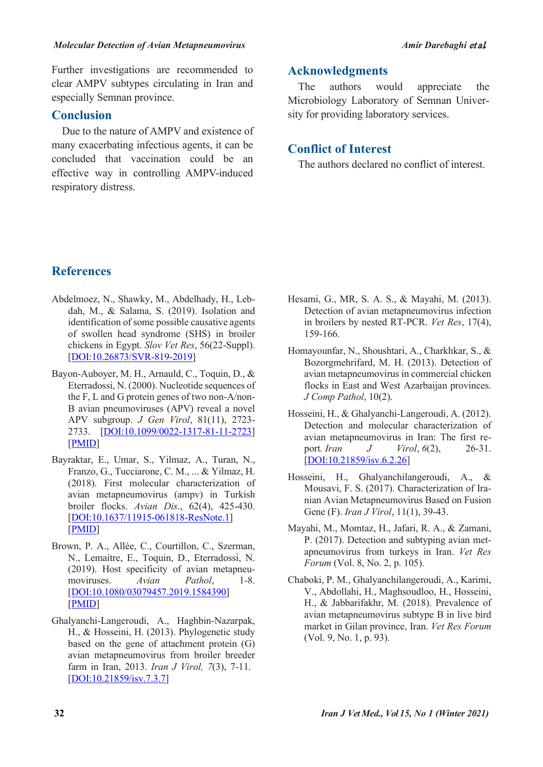Further investigations are recommended to clear AMPV subtypes circulating in Iran and especially Semnan province.

## **Conclusion**

Due to the nature of AMPV and existence of many exacerbating infectious agents, it can be concluded that vaccination could be an effective way in controlling AMPV-induced respiratory distress.

## **Acknowledgments**

The authors would appreciate the Microbiology Laboratory of Semnan University for providing laboratory services.

## **Conflict of Interest**

The authors declared no conflict of interest.

## **References**

- Abdelmoez, N., Shawky, M., Abdelhady, H., Lebdah, M., & Salama, S. (2019). Isolation and identification of some possible causative agents of swollen head syndrome (SHS) in broiler chickens in Egypt. *Slov Vet Res*, 56(22-Suppl). [DOI:10.26873/SVR-819-2019]
- Bayon-Auboyer, M. H., Arnauld, C., Toquin, D., & Eterradossi, N. (2000). Nucleotide sequences of the F, L and G protein genes of two non-A/non-B avian pneumoviruses (APV) reveal a novel APV subgroup. *J Gen Virol*, 81(11), 2723- 2733. [DOI:10.1099/0022-1317-81-11-2723] [PMID]
- Bayraktar, E., Umar, S., Yilmaz, A., Turan, N., Franzo, G., Tucciarone, C. M., ... & Yilmaz, H. (2018). First molecular characterization of avian metapneumovirus (ampv) in Turkish broiler flocks. *Avian Dis*., 62(4), 425-430. [DOI:10.1637/11915-061818-ResNote.1] [PMID]
- Brown, P. A., Allée, C., Courtillon, C., Szerman, N., Lemaitre, E., Toquin, D., Eterradossi, N. (2019). Host specificity of avian metapneumoviruses. *Avian Pathol*, 1-8. [DOI:10.1080/03079457.2019.1584390] [PMID]
- Ghalyanchi-Langeroudi, A., Haghbin-Nazarpak, H., & Hosseini, H. (2013). Phylogenetic study based on the gene of attachment protein (G) avian metapneumovirus from broiler breeder farm in Iran, 2013. *Iran J Virol, 7*(3), 7-11. [DOI:10.21859/isv.7.3.7]
- Hesami, G., MR, S. A. S., & Mayahi, M. (2013). Detection of avian metapneumovirus infection in broilers by nested RT-PCR. *Vet Res*, 17(4), 159-166.
- Homayounfar, N., Shoushtari, A., Charkhkar, S., & Bozorgmehrifard, M. H. (2013). Detection of avian metapneumovirus in commercial chicken flocks in East and West Azarbaijan provinces. *J Comp Pathol*, 10(2).
- Hosseini, H., & Ghalyanchi-Langeroudi, A. (2012). Detection and molecular characterization of avian metapneumovirus in Iran: The first report*. Iran J Virol*, *6*(2), 26-31. [DOI:10.21859/isv.6.2.26]
- Hosseini, H., Ghalyanchilangeroudi, A., & Mousavi, F. S. (2017). Characterization of Iranian Avian Metapneumovirus Based on Fusion Gene (F). *Iran J Virol*, 11(1), 39-43.
- Mayahi, M., Momtaz, H., Jafari, R. A., & Zamani, P. (2017). Detection and subtyping avian metapneumovirus from turkeys in Iran. *Vet Res Forum* (Vol. 8, No. 2, p. 105).
- Chaboki, P. M., Ghalyanchilangeroudi, A., Karimi, V., Abdollahi, H., Maghsoudloo, H., Hosseini, H., & Jabbarifakhr, M. (2018). Prevalence of avian metapneumovirus subtype B in live bird market in Gilan province, Iran. *Vet Res Forum* (Vol. 9, No. 1, p. 93).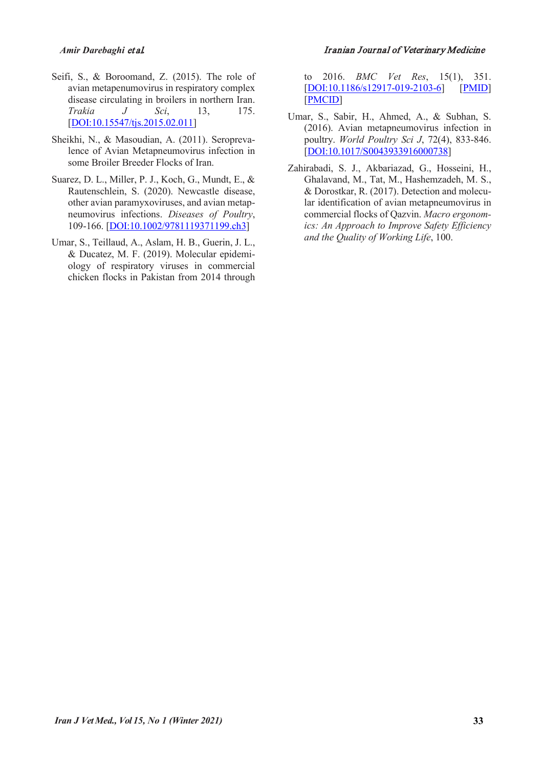- Seifi, S., & Boroomand, Z. (2015). The role of avian metapenumovirus in respiratory complex disease circulating in broilers in northern Iran.<br> *Trakia* J Sci, 13, 175. *Trakia J Sci*, [DOI:10.15547/tjs.2015.02.011]
- Sheikhi, N., & Masoudian, A. (2011). Seroprevalence of Avian Metapneumovirus infection in some Broiler Breeder Flocks of Iran.
- Suarez, D. L., Miller, P. J., Koch, G., Mundt, E., & Rautenschlein, S. (2020). Newcastle disease, other avian paramyxoviruses, and avian metapneumovirus infections. *Diseases of Poultry*, 109-166. [DOI:10.1002/9781119371199.ch3]
- Umar, S., Teillaud, A., Aslam, H. B., Guerin, J. L., & Ducatez, M. F. (2019). Molecular epidemiology of respiratory viruses in commercial chicken flocks in Pakistan from 2014 through

#### *Amir Darebaghi* et al*.* Iranian Journal of Veterinary Medicine

to 2016. *BMC Vet Res*, 15(1), 351. [DOI:10.1186/s12917-019-2103-6] [PMID] [PMCID]

- Umar, S., Sabir, H., Ahmed, A., & Subhan, S. (2016). Avian metapneumovirus infection in poultry. *World Poultry Sci J*, 72(4), 833-846. [DOI:10.1017/S0043933916000738]
- Zahirabadi, S. J., Akbariazad, G., Hosseini, H., Ghalavand, M., Tat, M., Hashemzadeh, M. S., & Dorostkar, R. (2017). Detection and molecular identification of avian metapneumovirus in commercial flocks of Qazvin. *Macro ergonomics: An Approach to Improve Safety Efficiency and the Quality of Working Life*, 100.